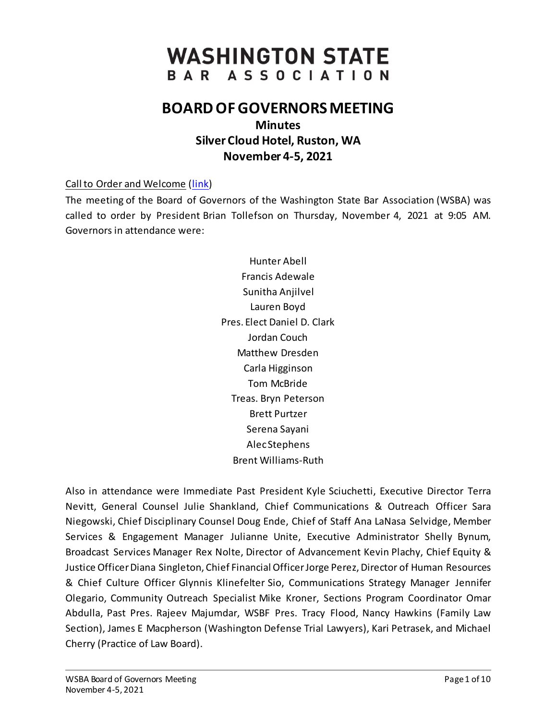# **WASHINGTON STATE** BAR ASSOCIATION

## **BOARD OF GOVERNORS MEETING**

**Minutes Silver Cloud Hotel, Ruston, WA November 4-5, 2021**

## Call to Order and Welcome [\(link\)](https://www.youtube.com/playlist?list=PLh11oFW23b5iZL-ETG0Q83AlpP8BJbYQO)

The meeting of the Board of Governors of the Washington State Bar Association (WSBA) was called to order by President Brian Tollefson on Thursday, November 4, 2021 at 9:05 AM. Governors in attendance were:

> Hunter Abell Francis Adewale Sunitha Anjilvel Lauren Boyd Pres. Elect Daniel D. Clark Jordan Couch Matthew Dresden Carla Higginson Tom McBride Treas. Bryn Peterson Brett Purtzer Serena Sayani Alec Stephens Brent Williams-Ruth

Also in attendance were Immediate Past President Kyle Sciuchetti, Executive Director Terra Nevitt, General Counsel Julie Shankland, Chief Communications & Outreach Officer Sara Niegowski, Chief Disciplinary Counsel Doug Ende, Chief of Staff Ana LaNasa Selvidge, Member Services & Engagement Manager Julianne Unite, Executive Administrator Shelly Bynum, Broadcast Services Manager Rex Nolte, Director of Advancement Kevin Plachy, Chief Equity & Justice Officer Diana Singleton, Chief Financial Officer Jorge Perez, Director of Human Resources & Chief Culture Officer Glynnis Klinefelter Sio, Communications Strategy Manager Jennifer Olegario, Community Outreach Specialist Mike Kroner, Sections Program Coordinator Omar Abdulla, Past Pres. Rajeev Majumdar, WSBF Pres. Tracy Flood, Nancy Hawkins (Family Law Section), James E Macpherson (Washington Defense Trial Lawyers), Kari Petrasek, and Michael Cherry (Practice of Law Board).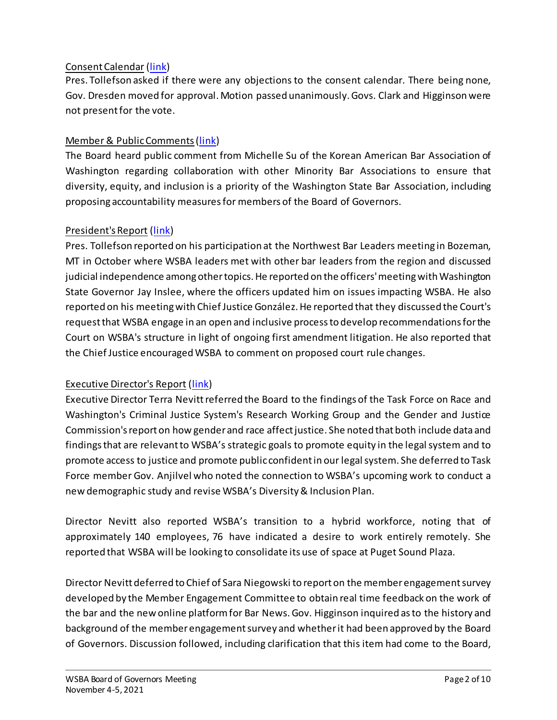## Consent Calendar [\(link\)](https://www.youtube.com/watch?v=HvStWxTpQro&list=PLh11oFW23b5iZL-ETG0Q83AlpP8BJbYQO&index=1)

Pres. Tollefson asked if there were any objections to the consent calendar. There being none, Gov. Dresden moved for approval. Motion passed unanimously. Govs. Clark and Higginson were not present for the vote.

## Member & Public Comments[\(link\)](https://www.youtube.com/watch?v=Asnl0n-5DZ0&list=PLh11oFW23b5iZL-ETG0Q83AlpP8BJbYQO&index=2)

The Board heard public comment from Michelle Su of the Korean American Bar Association of Washington regarding collaboration with other Minority Bar Associations to ensure that diversity, equity, and inclusion is a priority of the Washington State Bar Association, including proposing accountability measures for members of the Board of Governors.

#### President's Report [\(link\)](https://www.youtube.com/watch?v=RMF-gcgDF3s&list=PLh11oFW23b5iZL-ETG0Q83AlpP8BJbYQO&index=3)

Pres. Tollefson reported on his participation at the Northwest Bar Leaders meeting in Bozeman, MT in October where WSBA leaders met with other bar leaders from the region and discussed judicial independence among other topics. He reported on the officers' meeting with Washington State Governor Jay Inslee, where the officers updated him on issues impacting WSBA. He also reported on his meeting with Chief Justice González. He reported that they discussed the Court's request that WSBA engage in an open and inclusive process to develop recommendations for the Court on WSBA's structure in light of ongoing first amendment litigation. He also reported that the Chief Justice encouraged WSBA to comment on proposed court rule changes.

#### Executive Director's Report [\(link\)](https://www.youtube.com/watch?v=fdKIRDl4cjk&list=PLh11oFW23b5iZL-ETG0Q83AlpP8BJbYQO&index=4)

Executive Director Terra Nevitt referred the Board to the findings of the Task Force on Race and Washington's Criminal Justice System's Research Working Group and the Gender and Justice Commission's report on how gender and race affect justice. She noted that both include data and findings that are relevant to WSBA's strategic goals to promote equity in the legal system and to promote access to justice and promote public confident in our legal system. She deferred to Task Force member Gov. Anjilvel who noted the connection to WSBA's upcoming work to conduct a new demographic study and revise WSBA's Diversity & Inclusion Plan.

Director Nevitt also reported WSBA's transition to a hybrid workforce, noting that of approximately 140 employees, 76 have indicated a desire to work entirely remotely. She reported that WSBA will be looking to consolidate its use of space at Puget Sound Plaza.

Director Nevitt deferred to Chief of Sara Niegowski to report on the member engagement survey developed by the Member Engagement Committee to obtain real time feedback on the work of the bar and the new online platform for Bar News. Gov. Higginson inquired as to the history and background of the member engagement survey and whether it had been approved by the Board of Governors. Discussion followed, including clarification that this item had come to the Board,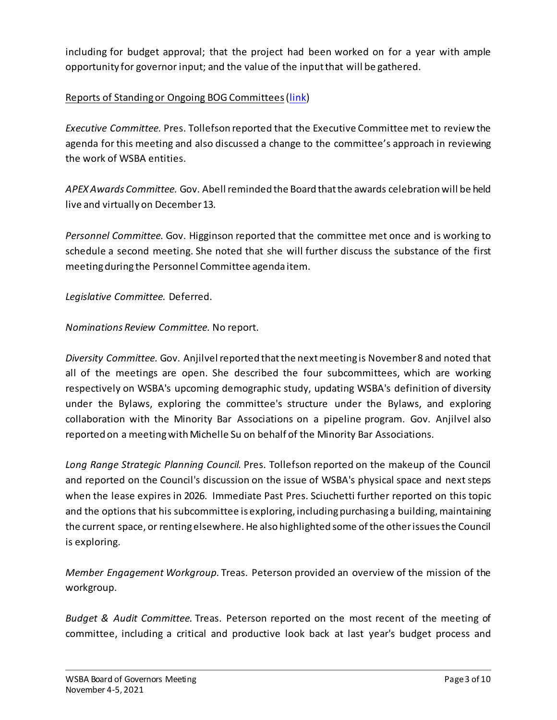including for budget approval; that the project had been worked on for a year with ample opportunity for governor input; and the value of the input that will be gathered.

## Reports of Standing or Ongoing BOG Committees[\(link\)](https://www.youtube.com/watch?v=YSfY7d_lOLw&list=PLh11oFW23b5iZL-ETG0Q83AlpP8BJbYQO&index=5)

*Executive Committee.* Pres. Tollefson reported that the Executive Committee met to review the agenda for this meeting and also discussed a change to the committee's approach in reviewing the work of WSBA entities.

*APEX Awards Committee.* Gov. Abell reminded the Board that the awards celebration will be held live and virtually on December 13.

*Personnel Committee.* Gov. Higginson reported that the committee met once and is working to schedule a second meeting. She noted that she will further discuss the substance of the first meeting during the Personnel Committee agenda item.

*Legislative Committee.* Deferred.

*Nominations Review Committee.* No report.

*Diversity Committee.* Gov. Anjilvel reported that the next meeting is November 8 and noted that all of the meetings are open. She described the four subcommittees, which are working respectively on WSBA's upcoming demographic study, updating WSBA's definition of diversity under the Bylaws, exploring the committee's structure under the Bylaws, and exploring collaboration with the Minority Bar Associations on a pipeline program. Gov. Anjilvel also reported on a meeting with Michelle Su on behalf of the Minority Bar Associations.

*Long Range Strategic Planning Council.* Pres. Tollefson reported on the makeup of the Council and reported on the Council's discussion on the issue of WSBA's physical space and next steps when the lease expires in 2026. Immediate Past Pres. Sciuchetti further reported on this topic and the options that his subcommittee is exploring, including purchasing a building, maintaining the current space, or renting elsewhere. He also highlighted some of the other issues the Council is exploring.

*Member Engagement Workgroup.* Treas. Peterson provided an overview of the mission of the workgroup.

*Budget & Audit Committee.* Treas. Peterson reported on the most recent of the meeting of committee, including a critical and productive look back at last year's budget process and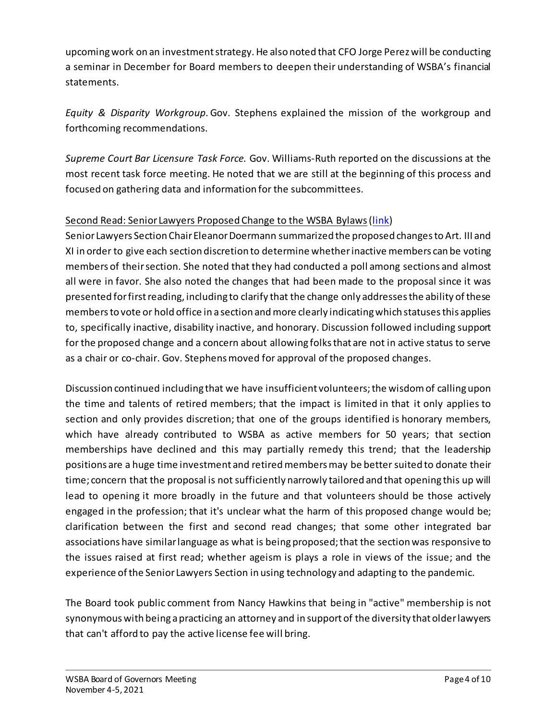upcoming work on an investment strategy. He also noted that CFO Jorge Perez will be conducting a seminar in December for Board members to deepen their understanding of WSBA's financial statements.

*Equity & Disparity Workgroup.*Gov. Stephens explained the mission of the workgroup and forthcoming recommendations.

*Supreme Court Bar Licensure Task Force.* Gov. Williams-Ruth reported on the discussions at the most recent task force meeting. He noted that we are still at the beginning of this process and focused on gathering data and information for the subcommittees.

## Second Read: Senior Lawyers Proposed Change to the WSBA Bylaws[\(link\)](https://www.youtube.com/watch?v=NbVz0xJq-Ro&list=PLh11oFW23b5iZL-ETG0Q83AlpP8BJbYQO&index=6)

Senior Lawyers Section Chair Eleanor Doermann summarized the proposed changes to Art. III and XI in order to give each section discretion to determine whether inactive members can be voting members of their section. She noted that they had conducted a poll among sections and almost all were in favor. She also noted the changes that had been made to the proposal since it was presented for first reading, including to clarify that the change only addresses the ability of these members to vote or hold office in a section and more clearly indicating which statuses this applies to, specifically inactive, disability inactive, and honorary. Discussion followed including support for the proposed change and a concern about allowing folks that are not in active status to serve as a chair or co-chair. Gov. Stephens moved for approval of the proposed changes.

Discussion continued including that we have insufficient volunteers; the wisdom of calling upon the time and talents of retired members; that the impact is limited in that it only applies to section and only provides discretion; that one of the groups identified is honorary members, which have already contributed to WSBA as active members for 50 years; that section memberships have declined and this may partially remedy this trend; that the leadership positions are a huge time investment and retired members may be better suited to donate their time; concern that the proposal is not sufficiently narrowly tailored and that opening this up will lead to opening it more broadly in the future and that volunteers should be those actively engaged in the profession; that it's unclear what the harm of this proposed change would be; clarification between the first and second read changes; that some other integrated bar associations have similar language as what is being proposed; that the section was responsive to the issues raised at first read; whether ageism is plays a role in views of the issue; and the experience of the Senior Lawyers Section in using technology and adapting to the pandemic.

The Board took public comment from Nancy Hawkins that being in "active" membership is not synonymous with being a practicing an attorney and in support of the diversity that older lawyers that can't afford to pay the active license fee will bring.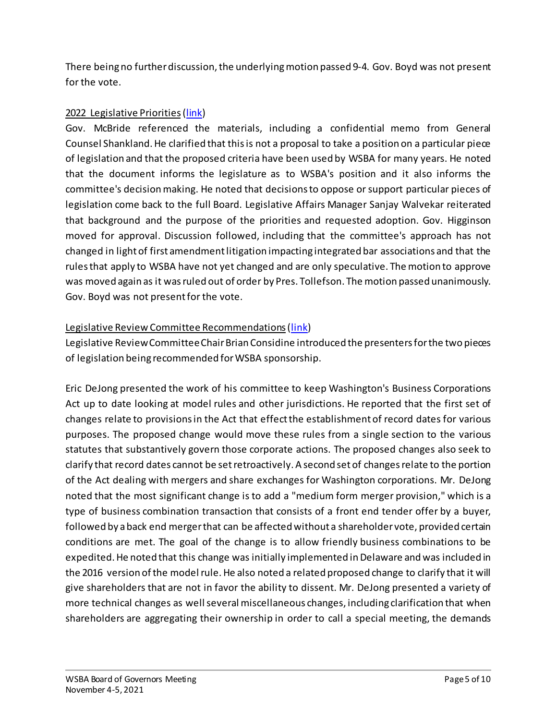There being no further discussion, the underlying motion passed 9-4. Gov. Boyd was not present for the vote.

## 2022 Legislative Priorities[\(link](https://www.youtube.com/watch?v=xKv36JTfEYo&list=PLh11oFW23b5iZL-ETG0Q83AlpP8BJbYQO&index=7))

Gov. McBride referenced the materials, including a confidential memo from General Counsel Shankland. He clarified that this is not a proposal to take a position on a particular piece of legislation and that the proposed criteria have been used by WSBA for many years. He noted that the document informs the legislature as to WSBA's position and it also informs the committee's decision making. He noted that decisions to oppose or support particular pieces of legislation come back to the full Board. Legislative Affairs Manager Sanjay Walvekar reiterated that background and the purpose of the priorities and requested adoption. Gov. Higginson moved for approval. Discussion followed, including that the committee's approach has not changed in light of first amendment litigation impacting integrated bar associations and that the rules that apply to WSBA have not yet changed and are only speculative. The motion to approve was moved again as it was ruled out of order by Pres. Tollefson. The motion passed unanimously. Gov. Boyd was not present for the vote.

## Legislative Review Committee Recommendations[\(link](https://www.youtube.com/watch?v=pHFr7MXVolo&list=PLh11oFW23b5iZL-ETG0Q83AlpP8BJbYQO&index=8))

Legislative Review CommitteeChair Brian Considine introduced the presenters for the two pieces of legislation being recommended for WSBA sponsorship.

Eric DeJong presented the work of his committee to keep Washington's Business Corporations Act up to date looking at model rules and other jurisdictions. He reported that the first set of changes relate to provisions in the Act that effect the establishment of record dates for various purposes. The proposed change would move these rules from a single section to the various statutes that substantively govern those corporate actions. The proposed changes also seek to clarify that record dates cannot be set retroactively. A second set of changes relate to the portion of the Act dealing with mergers and share exchanges for Washington corporations. Mr. DeJong noted that the most significant change is to add a "medium form merger provision," which is a type of business combination transaction that consists of a front end tender offer by a buyer, followed by a back end merger that can be affected without a shareholder vote, provided certain conditions are met. The goal of the change is to allow friendly business combinations to be expedited. He noted that this change was initially implemented in Delaware and was included in the 2016 version of the model rule. He also noted a related proposed change to clarify that it will give shareholders that are not in favor the ability to dissent. Mr. DeJong presented a variety of more technical changes as well several miscellaneous changes, including clarification that when shareholders are aggregating their ownership in order to call a special meeting, the demands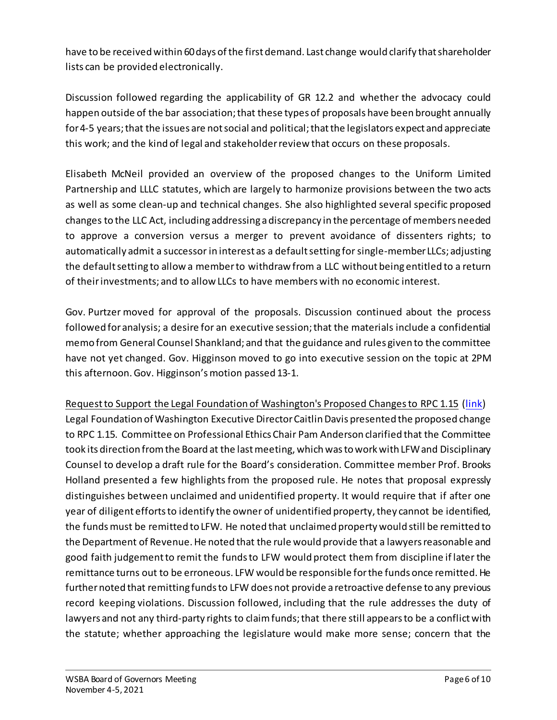have to be received within 60 days of the first demand. Last change would clarify that shareholder lists can be provided electronically.

Discussion followed regarding the applicability of GR 12.2 and whether the advocacy could happen outside of the bar association; that these types of proposals have been brought annually for 4-5 years; that the issues are not social and political; that the legislators expect and appreciate this work; and the kind of legal and stakeholder review that occurs on these proposals.

Elisabeth McNeil provided an overview of the proposed changes to the Uniform Limited Partnership and LLLC statutes, which are largely to harmonize provisions between the two acts as well as some clean-up and technical changes. She also highlighted several specific proposed changes to the LLC Act, including addressing a discrepancy in the percentage of members needed to approve a conversion versus a merger to prevent avoidance of dissenters rights; to automatically admit a successor in interest as a default setting for single-member LLCs; adjusting the default setting to allow a member to withdraw from a LLC without being entitled to a return of their investments; and to allow LLCs to have members with no economic interest.

Gov. Purtzer moved for approval of the proposals. Discussion continued about the process followed for analysis; a desire for an executive session; that the materials include a confidential memo from General Counsel Shankland; and that the guidance and rules given to the committee have not yet changed. Gov. Higginson moved to go into executive session on the topic at 2PM this afternoon. Gov. Higginson's motion passed 13-1.

Request to Support the Legal Foundation of Washington's Proposed Changes to RPC 1.15 [\(link\)](https://www.youtube.com/watch?v=_BQ6HXb6GSI&list=PLh11oFW23b5iZL-ETG0Q83AlpP8BJbYQO&index=9) Legal Foundation of Washington Executive Director Caitlin Davis presented the proposed change to RPC 1.15. Committee on Professional Ethics Chair Pam Anderson clarified that the Committee took its direction from the Board at the last meeting, which was to work with LFW and Disciplinary Counsel to develop a draft rule for the Board's consideration. Committee member Prof. Brooks Holland presented a few highlights from the proposed rule. He notes that proposal expressly distinguishes between unclaimed and unidentified property. It would require that if after one year of diligent efforts to identify the owner of unidentified property, they cannot be identified, the funds must be remitted to LFW. He noted that unclaimed property would still be remitted to the Department of Revenue. He noted that the rule would provide that a lawyers reasonable and good faith judgement to remit the funds to LFW would protect them from discipline if later the remittance turns out to be erroneous. LFW would be responsible for the funds once remitted. He further noted that remitting funds to LFW does not provide a retroactive defense to any previous record keeping violations. Discussion followed, including that the rule addresses the duty of lawyers and not any third-party rights to claim funds; that there still appears to be a conflict with the statute; whether approaching the legislature would make more sense; concern that the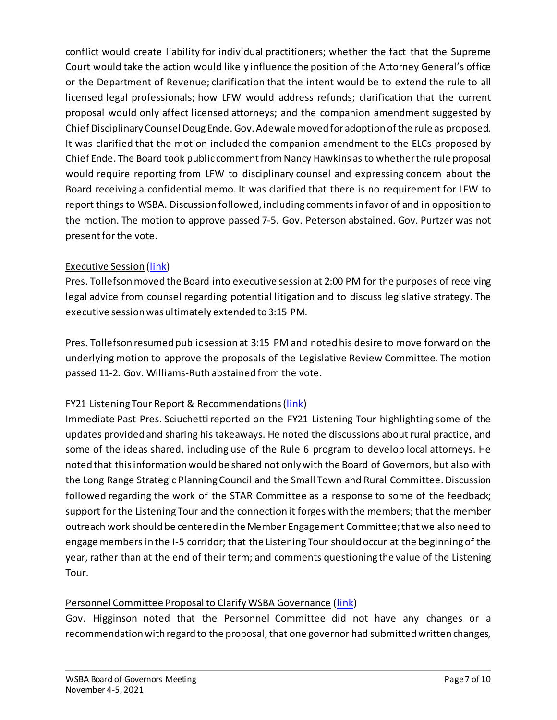conflict would create liability for individual practitioners; whether the fact that the Supreme Court would take the action would likely influence the position of the Attorney General's office or the Department of Revenue; clarification that the intent would be to extend the rule to all licensed legal professionals; how LFW would address refunds; clarification that the current proposal would only affect licensed attorneys; and the companion amendment suggested by Chief Disciplinary Counsel Doug Ende. Gov. Adewale moved for adoption of the rule as proposed. It was clarified that the motion included the companion amendment to the ELCs proposed by Chief Ende. The Board took public comment from Nancy Hawkins as to whether the rule proposal would require reporting from LFW to disciplinary counsel and expressing concern about the Board receiving a confidential memo. It was clarified that there is no requirement for LFW to report things to WSBA. Discussion followed, including comments in favor of and in opposition to the motion. The motion to approve passed 7-5. Gov. Peterson abstained. Gov. Purtzer was not present for the vote.

## Executive Session [\(link](https://www.youtube.com/watch?v=bOsYmxz6-kg&list=PLh11oFW23b5iZL-ETG0Q83AlpP8BJbYQO&index=10))

Pres. Tollefson moved the Board into executive session at 2:00 PM for the purposes of receiving legal advice from counsel regarding potential litigation and to discuss legislative strategy. The executive session was ultimately extended to 3:15 PM.

Pres. Tollefson resumed public session at 3:15 PM and noted his desire to move forward on the underlying motion to approve the proposals of the Legislative Review Committee. The motion passed 11-2. Gov. Williams-Ruth abstained from the vote.

## FY21 Listening Tour Report & Recommendations[\(link\)](https://www.youtube.com/watch?v=vV04HqH_bzU&list=PLh11oFW23b5iZL-ETG0Q83AlpP8BJbYQO&index=11)

Immediate Past Pres. Sciuchetti reported on the FY21 Listening Tour highlighting some of the updates provided and sharing his takeaways. He noted the discussions about rural practice, and some of the ideas shared, including use of the Rule 6 program to develop local attorneys. He noted that this information would be shared not only with the Board of Governors, but also with the Long Range Strategic Planning Council and the Small Town and Rural Committee. Discussion followed regarding the work of the STAR Committee as a response to some of the feedback; support for the Listening Tour and the connection it forges with the members; that the member outreach work should be centered in the Member Engagement Committee; that we also need to engage members in the I-5 corridor; that the Listening Tour should occur at the beginning of the year, rather than at the end of their term; and comments questioning the value of the Listening Tour.

## Personnel Committee Proposal to Clarify WSBA Governance [\(link\)](https://www.youtube.com/watch?v=IqHoEWkJGls&list=PLh11oFW23b5iZL-ETG0Q83AlpP8BJbYQO&index=12)

Gov. Higginson noted that the Personnel Committee did not have any changes or a recommendation with regard to the proposal, that one governor had submitted written changes,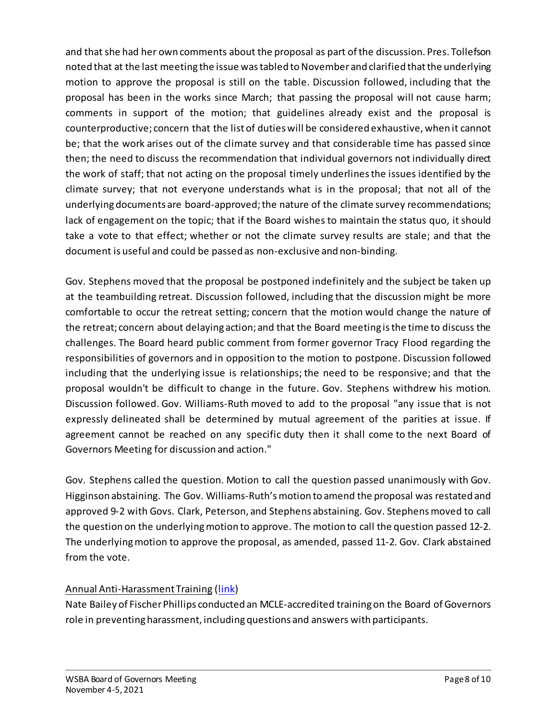and that she had her own comments about the proposal as part of the discussion. Pres. Tollefson noted that at the last meeting the issue was tabled to November and clarified that the underlying motion to approve the proposal is still on the table. Discussion followed, including that the proposal has been in the works since March; that passing the proposal will not cause harm; comments in support of the motion; that guidelines already exist and the proposal is counterproductive; concern that the list of duties will be considered exhaustive, when it cannot be; that the work arises out of the climate survey and that considerable time has passed since then; the need to discuss the recommendation that individual governors not individually direct the work of staff; that not acting on the proposal timely underlines the issues identified by the climate survey; that not everyone understands what is in the proposal; that not all of the underlying documents are board-approved; the nature of the climate survey recommendations; lack of engagement on the topic; that if the Board wishes to maintain the status quo, it should take a vote to that effect; whether or not the climate survey results are stale; and that the document is useful and could be passed as non-exclusive and non-binding.

Gov. Stephens moved that the proposal be postponed indefinitely and the subject be taken up at the teambuilding retreat. Discussion followed, including that the discussion might be more comfortable to occur the retreat setting; concern that the motion would change the nature of the retreat; concern about delaying action; and that the Board meeting is the time to discuss the challenges. The Board heard public comment from former governor Tracy Flood regarding the responsibilities of governors and in opposition to the motion to postpone. Discussion followed including that the underlying issue is relationships; the need to be responsive; and that the proposal wouldn't be difficult to change in the future. Gov. Stephens withdrew his motion. Discussion followed. Gov. Williams-Ruth moved to add to the proposal "any issue that is not expressly delineated shall be determined by mutual agreement of the parities at issue. If agreement cannot be reached on any specific duty then it shall come to the next Board of Governors Meeting for discussion and action."

Gov. Stephens called the question. Motion to call the question passed unanimously with Gov. Higginson abstaining. The Gov. Williams-Ruth's motion to amend the proposal was restated and approved 9-2 with Govs. Clark, Peterson, and Stephens abstaining. Gov. Stephens moved to call the question on the underlying motion to approve. The motion to call the question passed 12-2. The underlying motion to approve the proposal, as amended, passed 11-2. Gov. Clark abstained from the vote.

## Annual Anti-Harassment Training [\(link\)](https://www.youtube.com/watch?v=x7YNuJyu3FI&list=PLh11oFW23b5iZL-ETG0Q83AlpP8BJbYQO&index=13)

Nate Bailey of Fischer Phillips conducted an MCLE-accredited training on the Board of Governors role in preventing harassment, including questions and answers with participants.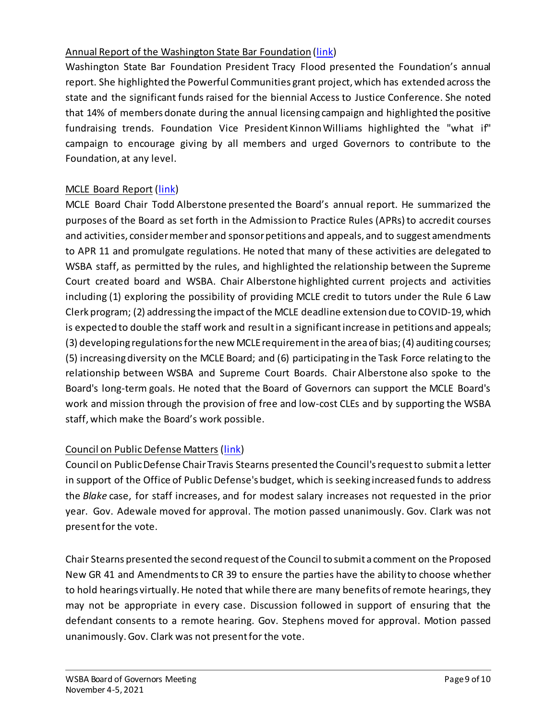## Annual Report of the Washington State Bar Foundation [\(link\)](https://www.youtube.com/watch?v=c6Hk-8HX1rQ&list=PLh11oFW23b5iZL-ETG0Q83AlpP8BJbYQO&index=14)

Washington State Bar Foundation President Tracy Flood presented the Foundation's annual report. She highlighted the Powerful Communities grant project, which has extended across the state and the significant funds raised for the biennial Access to Justice Conference. She noted that 14% of members donate during the annual licensing campaign and highlighted the positive fundraising trends. Foundation Vice President Kinnon Williams highlighted the "what if" campaign to encourage giving by all members and urged Governors to contribute to the Foundation, at any level.

## MCLE Board Report [\(link\)](https://www.youtube.com/watch?v=QqIJeN40YPU&list=PLh11oFW23b5iZL-ETG0Q83AlpP8BJbYQO&index=15)

MCLE Board Chair Todd Alberstone presented the Board's annual report. He summarized the purposes of the Board as set forth in the Admission to Practice Rules (APRs)to accredit courses and activities, consider member and sponsor petitions and appeals, and to suggest amendments to APR 11 and promulgate regulations. He noted that many of these activities are delegated to WSBA staff, as permitted by the rules, and highlighted the relationship between the Supreme Court created board and WSBA. Chair Alberstone highlighted current projects and activities including (1) exploring the possibility of providing MCLE credit to tutors under the Rule 6 Law Clerk program; (2) addressing the impact of the MCLE deadline extension due to COVID-19, which is expected to double the staff work and result in a significant increase in petitions and appeals; (3) developing regulations for the new MCLE requirement in the area of bias; (4) auditing courses; (5) increasing diversity on the MCLE Board; and (6) participating in the Task Force relating to the relationship between WSBA and Supreme Court Boards. Chair Alberstone also spoke to the Board's long-term goals. He noted that the Board of Governors can support the MCLE Board's work and mission through the provision of free and low-cost CLEs and by supporting the WSBA staff, which make the Board's work possible.

#### Council on Public Defense Matters [\(link\)](https://www.youtube.com/watch?v=xg_pqb_qwSk&list=PLh11oFW23b5iZL-ETG0Q83AlpP8BJbYQO&index=16)

Council on Public Defense Chair Travis Stearns presented the Council's request to submit a letter in support of the Office of Public Defense's budget, which is seeking increased funds to address the *Blake* case, for staff increases, and for modest salary increases not requested in the prior year. Gov. Adewale moved for approval. The motion passed unanimously. Gov. Clark was not present for the vote.

Chair Stearns presented the second request of the Council to submit a comment on the Proposed New GR 41 and Amendments to CR 39 to ensure the parties have the ability to choose whether to hold hearings virtually. He noted that while there are many benefits of remote hearings, they may not be appropriate in every case. Discussion followed in support of ensuring that the defendant consents to a remote hearing. Gov. Stephens moved for approval. Motion passed unanimously. Gov. Clark was not present for the vote.